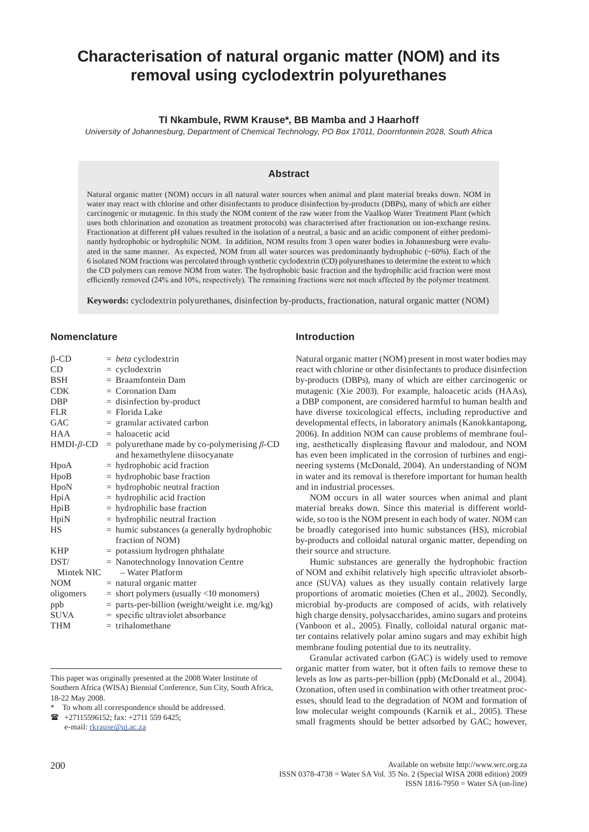# **Characterisation of natural organic matter (NOM) and its removal using cyclodextrin polyurethanes**

## **TI Nkambule, RWM Krause\*, BB Mamba and J Haarhoff**

*University of Johannesburg, Department of Chemical Technology, PO Box 17011, Doornfontein 2028, South Africa*

### **Abstract**

Natural organic matter (NOM) occurs in all natural water sources when animal and plant material breaks down. NOM in water may react with chlorine and other disinfectants to produce disinfection by-products (DBPs), many of which are either carcinogenic or mutagenic. In this study the NOM content of the raw water from the Vaalkop Water Treatment Plant (which uses both chlorination and ozonation as treatment protocols) was characterised after fractionation on ion-exchange resins. Fractionation at different pH values resulted in the isolation of a neutral, a basic and an acidic component of either predominantly hydrophobic or hydrophilic NOM. In addition, NOM results from 3 open water bodies in Johannesburg were evaluated in the same manner. As expected, NOM from all water sources was predominantly hydrophobic (~60%). Each of the 6 isolated NOM fractions was percolated through synthetic cyclodextrin (CD) polyurethanes to determine the extent to which the CD polymers can remove NOM from water. The hydrophobic basic fraction and the hydrophilic acid fraction were most efficiently removed (24% and 10%, respectively). The remaining fractions were not much affected by the polymer treatment.

**Keywords:** cyclodextrin polyurethanes, disinfection by-products, fractionation, natural organic matter (NOM)

#### **Nomenclature**

| $\beta$ -CD      | $= beta$ cyclodextrin                                |
|------------------|------------------------------------------------------|
| CD               | $=$ cyclodextrin                                     |
| <b>BSH</b>       | $=$ Braamfontein Dam                                 |
| <b>CDK</b>       | $=$ Coronation Dam                                   |
| <b>DBP</b>       | $=$ disinfection by-product                          |
| <b>FLR</b>       | $=$ Florida Lake                                     |
| GAC              | $=$ granular activated carbon                        |
| <b>HAA</b>       | $=$ haloacetic acid                                  |
| $HMDI-\beta$ -CD | $=$ polyurethane made by co-polymerising $\beta$ -CD |
|                  | and hexamethylene diisocyanate                       |
| HpoA             | $=$ hydrophobic acid fraction                        |
| HpoB             | $=$ hydrophobic base fraction                        |
| HpoN             | $=$ hydrophobic neutral fraction                     |
| HpiA             | $=$ hydrophilic acid fraction                        |
| HpiB             | $=$ hydrophilic base fraction                        |
| HpiN             | $=$ hydrophilic neutral fraction                     |
| НS               | $=$ humic substances (a generally hydrophobic        |
|                  | fraction of NOM)                                     |
| <b>KHP</b>       | $=$ potassium hydrogen phthalate                     |
| DST/             | $=$ Nanotechnology Innovation Centre                 |
| Mintek NIC       | - Water Platform                                     |
| <b>NOM</b>       | $=$ natural organic matter                           |
| oligomers        | $=$ short polymers (usually $<$ 10 monomers)         |
| ppb              | = parts-per-billion (weight/weight i.e. mg/kg)       |
| <b>SUVA</b>      | $=$ specific ultraviolet absorbance                  |
| THM              | $=$ trihalomethane                                   |

This paper was originally presented at the 2008 Water Institute of Southern Africa (WISA) Biennial Conference, Sun City, South Africa, 18-22 May 2008.

To whom all correspondence should be addressed.

+27115596152; fax: +2711 559 6425;

e-mail: rkrause@uj.ac.za

#### **Introduction**

Natural organic matter (NOM) present in most water bodies may react with chlorine or other disinfectants to produce disinfection by-products (DBPs), many of which are either carcinogenic or mutagenic (Xie 2003). For example, haloacetic acids (HAAs), a DBP component, are considered harmful to human health and have diverse toxicological effects, including reproductive and developmental effects, in laboratory animals (Kanokkantapong, 2006). In addition NOM can cause problems of membrane fouling, aesthetically displeasing flavour and malodour, and NOM has even been implicated in the corrosion of turbines and engineering systems (McDonald, 2004). An understanding of NOM in water and its removal is therefore important for human health and in industrial processes.

NOM occurs in all water sources when animal and plant material breaks down. Since this material is different worldwide, so too is the NOM present in each body of water. NOM can be broadly categorised into humic substances (HS), microbial by-products and colloidal natural organic matter, depending on their source and structure.

Humic substances are generally the hydrophobic fraction of NOM and exhibit relatively high specific ultraviolet absorbance (SUVA) values as they usually contain relatively large proportions of aromatic moieties (Chen et al., 2002). Secondly, microbial by-products are composed of acids, with relatively high charge density, polysaccharides, amino sugars and proteins (Vanboon et al., 2005). Finally, colloidal natural organic matter contains relatively polar amino sugars and may exhibit high membrane fouling potential due to its neutrality.

Granular activated carbon (GAC) is widely used to remove organic matter from water, but it often fails to remove these to levels as low as parts-per-billion (ppb) (McDonald et al., 2004). Ozonation, often used in combination with other treatment processes, should lead to the degradation of NOM and formation of low molecular weight compounds (Karnik et al., 2005). These small fragments should be better adsorbed by GAC; however,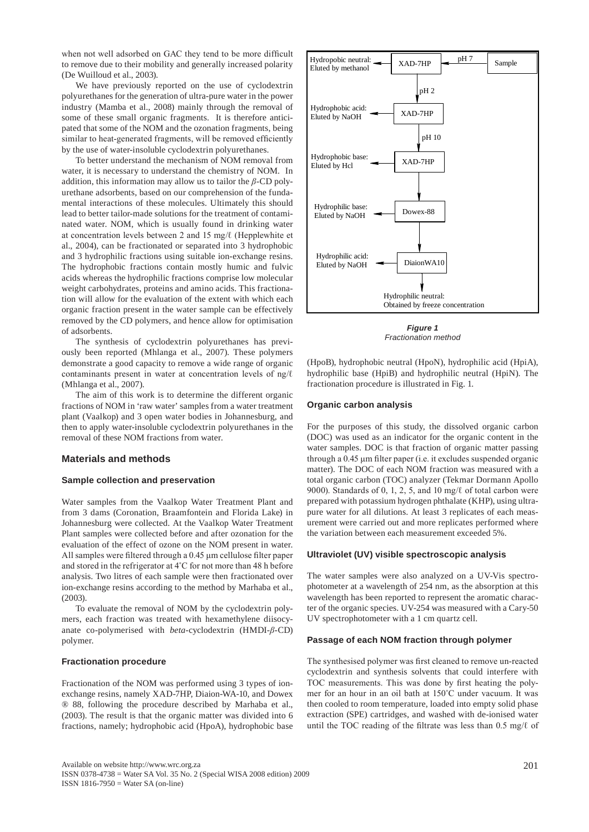when not well adsorbed on GAC they tend to be more difficult to remove due to their mobility and generally increased polarity (De Wuilloud et al., 2003).

We have previously reported on the use of cyclodextrin polyurethanes for the generation of ultra-pure water in the power industry (Mamba et al., 2008) mainly through the removal of some of these small organic fragments. It is therefore anticipated that some of the NOM and the ozonation fragments, being similar to heat-generated fragments, will be removed efficiently by the use of water-insoluble cyclodextrin polyurethanes.

To better understand the mechanism of NOM removal from water, it is necessary to understand the chemistry of NOM. In addition, this information may allow us to tailor the *β*-CD polyurethane adsorbents, based on our comprehension of the fundamental interactions of these molecules. Ultimately this should lead to better tailor-made solutions for the treatment of contaminated water. NOM, which is usually found in drinking water at concentration levels between 2 and 15 mg/ℓ (Hepplewhite et al., 2004), can be fractionated or separated into 3 hydrophobic and 3 hydrophilic fractions using suitable ion-exchange resins. The hydrophobic fractions contain mostly humic and fulvic acids whereas the hydrophilic fractions comprise low molecular weight carbohydrates, proteins and amino acids. This fractionation will allow for the evaluation of the extent with which each organic fraction present in the water sample can be effectively removed by the CD polymers, and hence allow for optimisation of adsorbents.

The synthesis of cyclodextrin polyurethanes has previously been reported (Mhlanga et al., 2007). These polymers demonstrate a good capacity to remove a wide range of organic contaminants present in water at concentration levels of ng/ℓ (Mhlanga et al., 2007).

The aim of this work is to determine the different organic fractions of NOM in 'raw water' samples from a water treatment plant (Vaalkop) and 3 open water bodies in Johannesburg, and then to apply water-insoluble cyclodextrin polyurethanes in the removal of these NOM fractions from water.

## **Materials and methods**

#### **Sample collection and preservation**

Water samples from the Vaalkop Water Treatment Plant and from 3 dams (Coronation, Braamfontein and Florida Lake) in Johannesburg were collected. At the Vaalkop Water Treatment Plant samples were collected before and after ozonation for the evaluation of the effect of ozone on the NOM present in water. All samples were filtered through a 0.45 μm cellulose filter paper and stored in the refrigerator at 4˚C for not more than 48 h before analysis. Two litres of each sample were then fractionated over ion-exchange resins according to the method by Marhaba et al., (2003).

To evaluate the removal of NOM by the cyclodextrin polymers, each fraction was treated with hexamethylene diisocyanate co-polymerised with *beta*-cyclodextrin (HMDI-*β*-CD) polymer.

#### **Fractionation procedure**

Fractionation of the NOM was performed using 3 types of ionexchange resins, namely XAD-7HP, Diaion-WA-10, and Dowex ® 88, following the procedure described by Marhaba et al., (2003). The result is that the organic matter was divided into 6 fractions, namely; hydrophobic acid (HpoA), hydrophobic base



*Figure 1 Fractionation method*

(HpoB), hydrophobic neutral (HpoN), hydrophilic acid (HpiA), hydrophilic base (HpiB) and hydrophilic neutral (HpiN). The fractionation procedure is illustrated in Fig. 1.

#### **Organic carbon analysis**

For the purposes of this study, the dissolved organic carbon (DOC) was used as an indicator for the organic content in the water samples. DOC is that fraction of organic matter passing through a 0.45 μm filter paper (i.e. it excludes suspended organic matter). The DOC of each NOM fraction was measured with a total organic carbon (TOC) analyzer (Tekmar Dormann Apollo 9000). Standards of 0, 1, 2, 5, and 10 mg/ℓ of total carbon were prepared with potassium hydrogen phthalate (KHP), using ultrapure water for all dilutions. At least 3 replicates of each measurement were carried out and more replicates performed where the variation between each measurement exceeded 5%.

#### **Ultraviolet (UV) visible spectroscopic analysis**

The water samples were also analyzed on a UV-Vis spectrophotometer at a wavelength of 254 nm, as the absorption at this wavelength has been reported to represent the aromatic character of the organic species. UV-254 was measured with a Cary-50 UV spectrophotometer with a 1 cm quartz cell.

#### **Passage of each NOM fraction through polymer**

The synthesised polymer was first cleaned to remove un-reacted cyclodextrin and synthesis solvents that could interfere with TOC measurements. This was done by first heating the polymer for an hour in an oil bath at 150˚C under vacuum. It was then cooled to room temperature, loaded into empty solid phase extraction (SPE) cartridges, and washed with de-ionised water until the TOC reading of the filtrate was less than 0.5 mg/ℓ of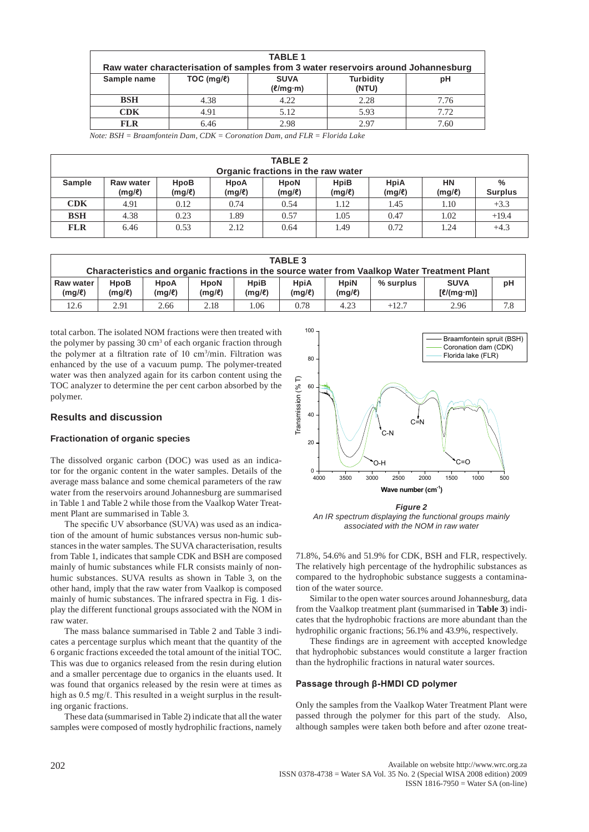| <b>TABLE 1</b> |                                                                                   |               |                  |      |  |  |  |
|----------------|-----------------------------------------------------------------------------------|---------------|------------------|------|--|--|--|
|                | Raw water characterisation of samples from 3 water reservoirs around Johannesburg |               |                  |      |  |  |  |
| Sample name    | TOC (mg/l)                                                                        | <b>SUVA</b>   | <b>Turbidity</b> | рH   |  |  |  |
|                |                                                                                   | $(\ell/mg·m)$ | (NTU)            |      |  |  |  |
| <b>BSH</b>     | 4.38                                                                              | 4.22          | 2.28             | 7.76 |  |  |  |
| <b>CDK</b>     | 4.91                                                                              | 5.12          | 5.93             | 7.72 |  |  |  |
| <b>FLR</b>     | 6.46                                                                              | 2.98          | 2.97             | 7.60 |  |  |  |

*Note: BSH = Braamfontein Dam, CDK = Coronation Dam, and FLR = Florida Lake*

| <b>TABLE 2</b> |                                    |                     |                            |                       |                            |                            |                          |                |
|----------------|------------------------------------|---------------------|----------------------------|-----------------------|----------------------------|----------------------------|--------------------------|----------------|
|                | Organic fractions in the raw water |                     |                            |                       |                            |                            |                          | %              |
| Sample         | <b>Raw water</b><br>$(mg/\ell)$    | HpoB<br>$(mg/\ell)$ | <b>HpoA</b><br>$(mg/\ell)$ | <b>HpoN</b><br>(mg/l) | <b>HpiB</b><br>$(mg/\ell)$ | <b>HpiA</b><br>$(mg/\ell)$ | <b>HN</b><br>$(mg/\ell)$ | <b>Surplus</b> |
| CDK            | 4.91                               | 0.12                | 0.74                       | 0.54                  | 1.12                       | 1.45                       | 1.10                     | $+3.3$         |
| <b>BSH</b>     | 4.38                               | 0.23                | 1.89                       | 0.57                  | 1.05                       | 0.47                       | 1.02                     | $+19.4$        |
| <b>FLR</b>     | 6.46                               | 0.53                | 2.12                       | 0.64                  | 1.49                       | 0.72                       | 1.24                     | $+4.3$         |

| <b>TABLE 3</b>                                                                               |                     |                     |                            |                            |                     |                            |             |                             |     |
|----------------------------------------------------------------------------------------------|---------------------|---------------------|----------------------------|----------------------------|---------------------|----------------------------|-------------|-----------------------------|-----|
| Characteristics and organic fractions in the source water from Vaalkop Water Treatment Plant |                     |                     |                            |                            |                     |                            |             |                             |     |
| Raw water<br>$(mg/\ell)$                                                                     | HpoB<br>$(mg/\ell)$ | HpoA<br>$(mg/\ell)$ | <b>HpoN</b><br>$(mg/\ell)$ | <b>HpiB</b><br>$(mg/\ell)$ | HpiA<br>$(mg/\ell)$ | <b>HpiN</b><br>$(mg/\ell)$ | $%$ surplus | <b>SUVA</b><br>$[$ l(mg·m)] | pH  |
| 12.6                                                                                         | 2.91                | 2.66                | 2.18                       | .06                        | 0.78                | 4.23                       | $+12.7$     | 2.96                        | 7.8 |

total carbon. The isolated NOM fractions were then treated with the polymer by passing  $30 \text{ cm}^3$  of each organic fraction through the polymer at a filtration rate of 10 cm<sup>3</sup> /min. Filtration was enhanced by the use of a vacuum pump. The polymer-treated water was then analyzed again for its carbon content using the TOC analyzer to determine the per cent carbon absorbed by the polymer.

## **Results and discussion**

#### **Fractionation of organic species**

The dissolved organic carbon (DOC) was used as an indicator for the organic content in the water samples. Details of the average mass balance and some chemical parameters of the raw water from the reservoirs around Johannesburg are summarised in Table 1 and Table 2 while those from the Vaalkop Water Treatment Plant are summarised in Table 3.

The specific UV absorbance (SUVA) was used as an indication of the amount of humic substances versus non-humic substances in the water samples. The SUVA characterisation, results from Table 1, indicates that sample CDK and BSH are composed mainly of humic substances while FLR consists mainly of nonhumic substances. SUVA results as shown in Table 3, on the other hand, imply that the raw water from Vaalkop is composed mainly of humic substances. The infrared spectra in Fig. 1 display the different functional groups associated with the NOM in raw water.

The mass balance summarised in Table 2 and Table 3 indicates a percentage surplus which meant that the quantity of the 6 organic fractions exceeded the total amount of the initial TOC. This was due to organics released from the resin during elution and a smaller percentage due to organics in the eluants used. It was found that organics released by the resin were at times as high as 0.5 mg/ℓ. This resulted in a weight surplus in the resulting organic fractions.

These data (summarised in Table 2) indicate that all the water samples were composed of mostly hydrophilic fractions, namely



**Figure 1: An IR spectrum displaying the functional groups mainly associated with the NOM in raw water**  *associated with the NOM in raw waterFigure 2 An IR spectrum displaying the functional groups mainly* 

resuits<br>mposed 71.8%, 54.6% and 51.9% for CDK, BSH and FLR, respectively. mposed  $\pi$  r.6%, 54.0% and 51.9% for CDK, BS11 and FER, respectively.<br>The relatively high percentage of the hydrophilic substances as compared to the hydrophobic substance suggests a contamination of the water source.

Similar to the open water sources around Johannesburg, data from the Vaalkop treatment plant (summarised in **Table 3**) indicates that the hydrophobic fractions are more abundant than the hydrophilic organic fractions; 56.1% and 43.9%, respectively.

These findings are in agreement with accepted knowledge that hydrophobic substances would constitute a larger fraction than the hydrophilic fractions in natural water sources.

#### **Passage through β-HMDI CD polymer**

Only the samples from the Vaalkop Water Treatment Plant were passed through the polymer for this part of the study. Also, although samples were taken both before and after ozone treat-